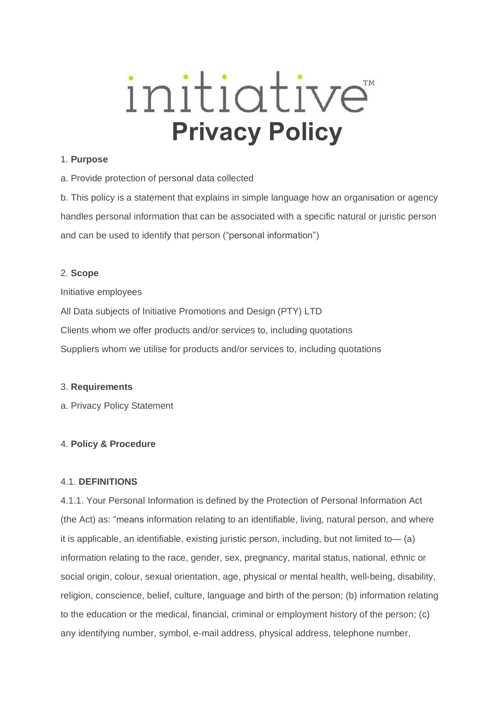# initiative<sup>®</sup>  **Privacy Policy**

#### 1. **Purpose**

a. Provide protection of personal data collected

b. This policy is a statement that explains in simple language how an organisation or agency handles personal information that can be associated with a specific natural or juristic person and can be used to identify that person ("personal information")

## 2. **Scope**

Initiative employees

All Data subjects of Initiative Promotions and Design (PTY) LTD Clients whom we offer products and/or services to, including quotations

Suppliers whom we utilise for products and/or services to, including quotations

# 3. **Requirements**

a. Privacy Policy Statement

# 4. **Policy & Procedure**

# 4.1. **DEFINITIONS**

4.1.1. Your Personal Information is defined by the Protection of Personal Information Act (the Act) as: "means information relating to an identifiable, living, natural person, and where it is applicable, an identifiable, existing juristic person, including, but not limited to— (a) information relating to the race, gender, sex, pregnancy, marital status, national, ethnic or social origin, colour, sexual orientation, age, physical or mental health, well-being, disability, religion, conscience, belief, culture, language and birth of the person; (b) information relating to the education or the medical, financial, criminal or employment history of the person; (c) any identifying number, symbol, e-mail address, physical address, telephone number,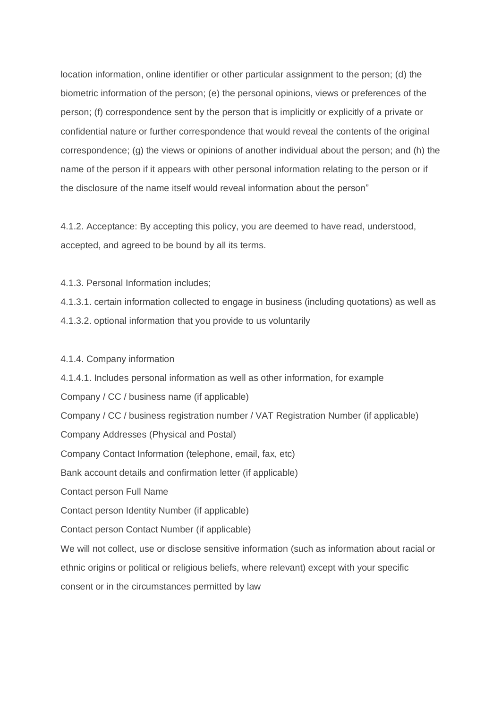location information, online identifier or other particular assignment to the person; (d) the biometric information of the person; (e) the personal opinions, views or preferences of the person; (f) correspondence sent by the person that is implicitly or explicitly of a private or confidential nature or further correspondence that would reveal the contents of the original correspondence; (g) the views or opinions of another individual about the person; and (h) the name of the person if it appears with other personal information relating to the person or if the disclosure of the name itself would reveal information about the person"

4.1.2. Acceptance: By accepting this policy, you are deemed to have read, understood, accepted, and agreed to be bound by all its terms.

4.1.3. Personal Information includes;

4.1.3.1. certain information collected to engage in business (including quotations) as well as 4.1.3.2. optional information that you provide to us voluntarily

#### 4.1.4. Company information

4.1.4.1. Includes personal information as well as other information, for example Company / CC / business name (if applicable) Company / CC / business registration number / VAT Registration Number (if applicable) Company Addresses (Physical and Postal) Company Contact Information (telephone, email, fax, etc) Bank account details and confirmation letter (if applicable) Contact person Full Name Contact person Identity Number (if applicable) Contact person Contact Number (if applicable) We will not collect, use or disclose sensitive information (such as information about racial or ethnic origins or political or religious beliefs, where relevant) except with your specific consent or in the circumstances permitted by law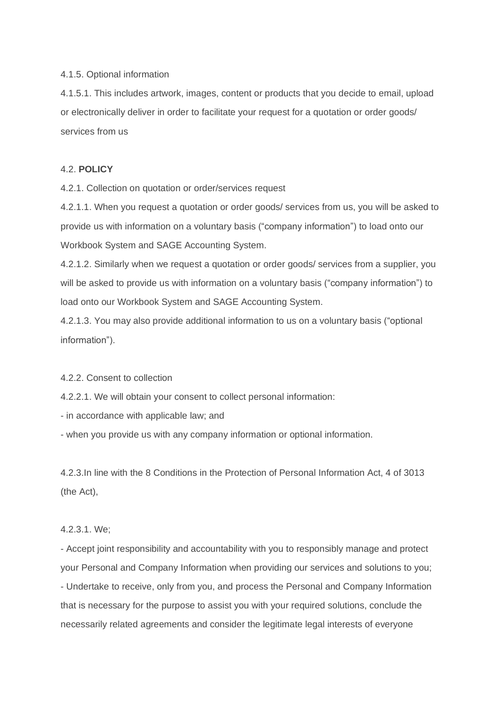#### 4.1.5. Optional information

4.1.5.1. This includes artwork, images, content or products that you decide to email, upload or electronically deliver in order to facilitate your request for a quotation or order goods/ services from us

## 4.2. **POLICY**

4.2.1. Collection on quotation or order/services request

4.2.1.1. When you request a quotation or order goods/ services from us, you will be asked to provide us with information on a voluntary basis ("company information") to load onto our Workbook System and SAGE Accounting System.

4.2.1.2. Similarly when we request a quotation or order goods/ services from a supplier, you will be asked to provide us with information on a voluntary basis ("company information") to load onto our Workbook System and SAGE Accounting System.

4.2.1.3. You may also provide additional information to us on a voluntary basis ("optional information").

#### 4.2.2. Consent to collection

4.2.2.1. We will obtain your consent to collect personal information:

- in accordance with applicable law; and

- when you provide us with any company information or optional information.

4.2.3.In line with the 8 Conditions in the Protection of Personal Information Act, 4 of 3013 (the Act),

#### 4.2.3.1. We;

- Accept joint responsibility and accountability with you to responsibly manage and protect your Personal and Company Information when providing our services and solutions to you; - Undertake to receive, only from you, and process the Personal and Company Information that is necessary for the purpose to assist you with your required solutions, conclude the necessarily related agreements and consider the legitimate legal interests of everyone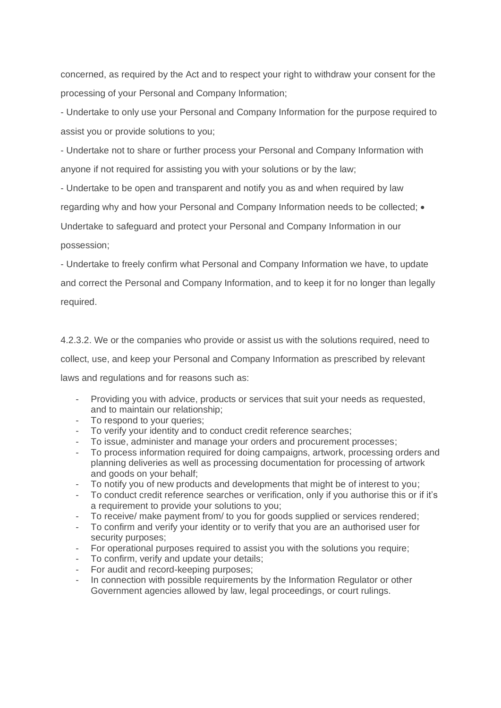concerned, as required by the Act and to respect your right to withdraw your consent for the processing of your Personal and Company Information;

- Undertake to only use your Personal and Company Information for the purpose required to assist you or provide solutions to you;

- Undertake not to share or further process your Personal and Company Information with anyone if not required for assisting you with your solutions or by the law;

- Undertake to be open and transparent and notify you as and when required by law

regarding why and how your Personal and Company Information needs to be collected; •

Undertake to safeguard and protect your Personal and Company Information in our

possession;

- Undertake to freely confirm what Personal and Company Information we have, to update and correct the Personal and Company Information, and to keep it for no longer than legally required.

4.2.3.2. We or the companies who provide or assist us with the solutions required, need to collect, use, and keep your Personal and Company Information as prescribed by relevant laws and regulations and for reasons such as:

- Providing you with advice, products or services that suit your needs as requested, and to maintain our relationship;
- To respond to your queries;
- To verify your identity and to conduct credit reference searches;
- To issue, administer and manage your orders and procurement processes;
- To process information required for doing campaigns, artwork, processing orders and planning deliveries as well as processing documentation for processing of artwork and goods on your behalf;
- To notify you of new products and developments that might be of interest to you;
- To conduct credit reference searches or verification, only if you authorise this or if it's a requirement to provide your solutions to you;
- To receive/ make payment from/ to you for goods supplied or services rendered;
- To confirm and verify your identity or to verify that you are an authorised user for security purposes;
- For operational purposes required to assist you with the solutions you require;
- To confirm, verify and update your details;
- For audit and record-keeping purposes;
- In connection with possible requirements by the Information Regulator or other Government agencies allowed by law, legal proceedings, or court rulings.